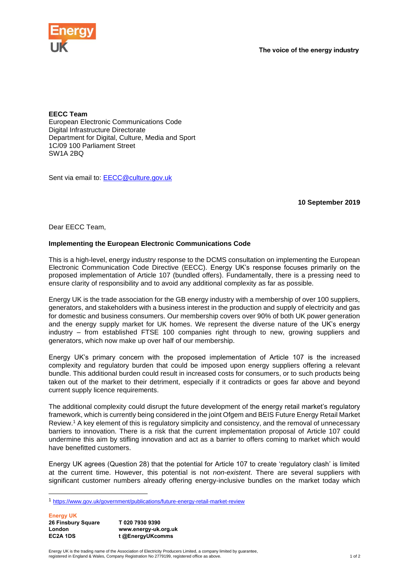

**EECC Team** European Electronic Communications Code Digital Infrastructure Directorate Department for Digital, Culture, Media and Sport 1C/09 100 Parliament Street SW1A 2BQ

Sent via email to: [EECC@culture.gov.uk](mailto:EECC@culture.gov.uk)

**10 September 2019**

Dear EECC Team,

## **Implementing the European Electronic Communications Code**

This is a high-level, energy industry response to the DCMS consultation on implementing the European Electronic Communication Code Directive (EECC). Energy UK's response focuses primarily on the proposed implementation of Article 107 (bundled offers). Fundamentally, there is a pressing need to ensure clarity of responsibility and to avoid any additional complexity as far as possible.

Energy UK is the trade association for the GB energy industry with a membership of over 100 suppliers, generators, and stakeholders with a business interest in the production and supply of electricity and gas for domestic and business consumers. Our membership covers over 90% of both UK power generation and the energy supply market for UK homes. We represent the diverse nature of the UK's energy industry – from established FTSE 100 companies right through to new, growing suppliers and generators, which now make up over half of our membership.

Energy UK's primary concern with the proposed implementation of Article 107 is the increased complexity and regulatory burden that could be imposed upon energy suppliers offering a relevant bundle. This additional burden could result in increased costs for consumers, or to such products being taken out of the market to their detriment, especially if it contradicts or goes far above and beyond current supply licence requirements.

The additional complexity could disrupt the future development of the energy retail market's regulatory framework, which is currently being considered in the joint Ofgem and BEIS Future Energy Retail Market Review.<sup>1</sup> A key element of this is regulatory simplicity and consistency, and the removal of unnecessary barriers to innovation. There is a risk that the current implementation proposal of Article 107 could undermine this aim by stifling innovation and act as a barrier to offers coming to market which would have benefitted customers.

Energy UK agrees (Question 28) that the potential for Article 107 to create 'regulatory clash' is limited at the current time. However, this potential is not *non-existent*. There are several suppliers with significant customer numbers already offering energy-inclusive bundles on the market today which

<sup>1</sup> <https://www.gov.uk/government/publications/future-energy-retail-market-review>

| <b>Energy UK</b>   |                      |
|--------------------|----------------------|
| 26 Finsbury Square | T020 7930 9390       |
| London             | www.energy-uk.org.uk |
| EC2A 1DS           | t @EnergyUKcomms     |

Energy UK is the trading name of the Association of Electricity Producers Limited, a company limited by guarantee, registered in England & Wales, Company Registration No 2779199, registered office as above. 1 of 2